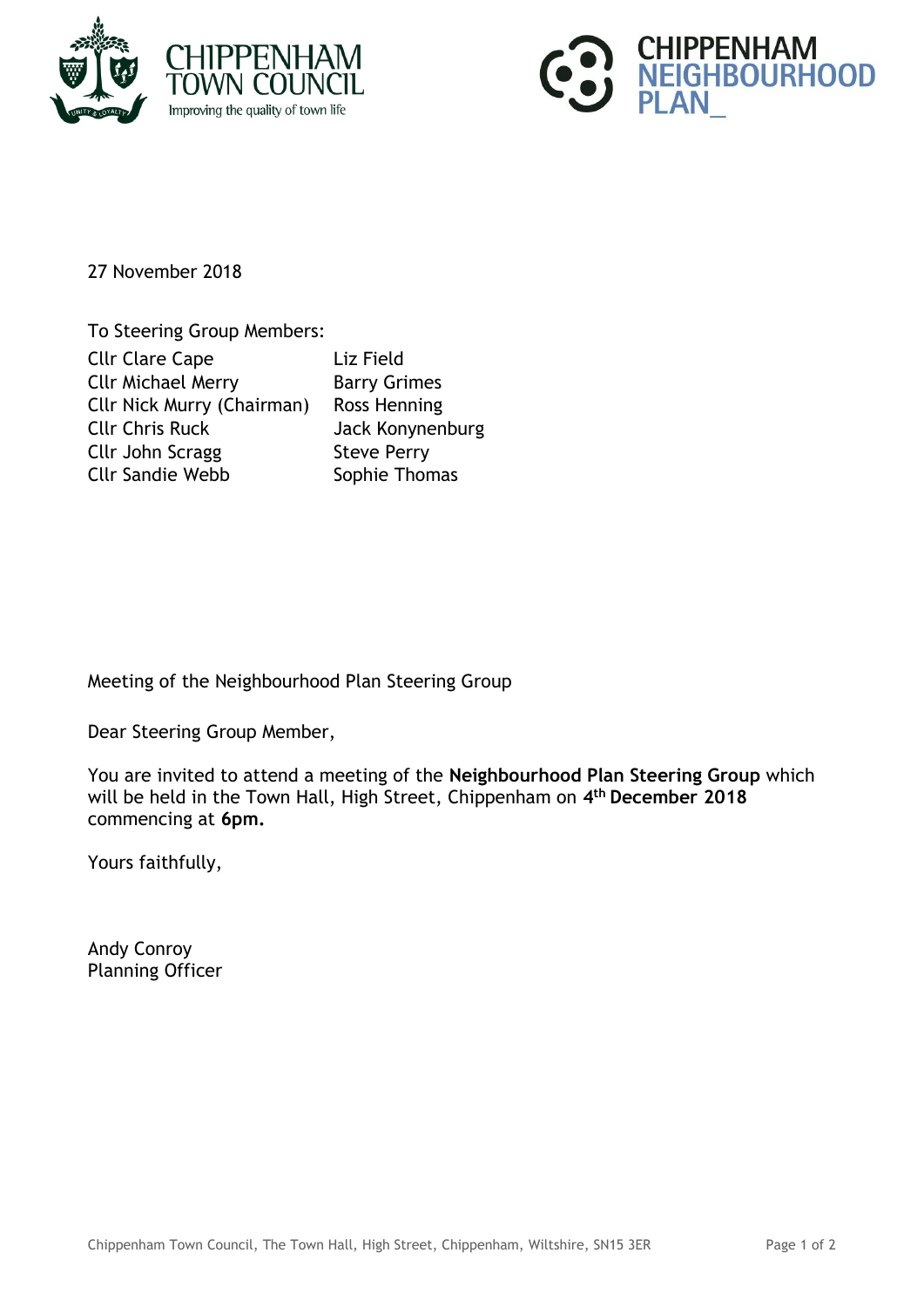



27 November 2018

To Steering Group Members: Cllr Clare Cape Liz Field Cllr Michael Merry **Barry Grimes** Cllr Nick Murry (Chairman) Ross Henning Cllr Chris Ruck Jack Konynenburg Cllr John Scragg Steve Perry Cllr Sandie Webb Sophie Thomas

Meeting of the Neighbourhood Plan Steering Group

Dear Steering Group Member,

You are invited to attend a meeting of the **Neighbourhood Plan Steering Group** which will be held in the Town Hall, High Street, Chippenham on **4 th December 2018** commencing at **6pm.**

Yours faithfully,

Andy Conroy Planning Officer